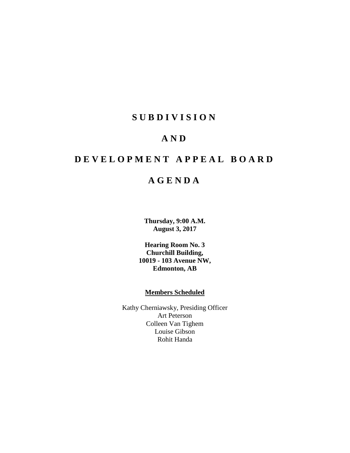# **SUBDIVISION**

## **AND**

# **DEVELOPMENT APPEAL BOARD**

# **AGENDA**

**Thursday, 9:00 A.M. August 3, 2017**

**Hearing Room No. 3 Churchill Building, 10019 - 103 Avenue NW, Edmonton, AB**

## **Members Scheduled**

Kathy Cherniawsky, Presiding Officer Art Peterson Colleen Van Tighem Louise Gibson Rohit Handa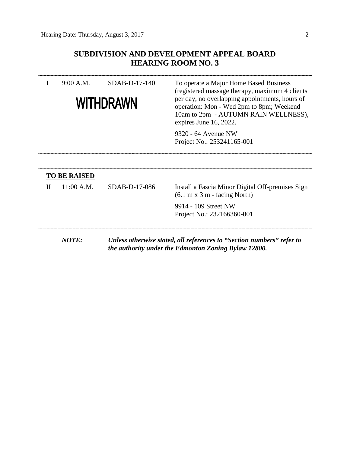## **SUBDIVISION AND DEVELOPMENT APPEAL BOARD HEARING ROOM NO. 3**

| 9:00 A.M.<br>WITHDRAWN |                     | SDAB-D-17-140 | To operate a Major Home Based Business<br>(registered massage therapy, maximum 4 clients)<br>per day, no overlapping appointments, hours of<br>operation: Mon - Wed 2pm to 8pm; Weekend<br>10am to 2pm - AUTUMN RAIN WELLNESS),<br>expires June 16, 2022. |  |  |  |
|------------------------|---------------------|---------------|-----------------------------------------------------------------------------------------------------------------------------------------------------------------------------------------------------------------------------------------------------------|--|--|--|
|                        |                     |               | 9320 - 64 Avenue NW<br>Project No.: 253241165-001                                                                                                                                                                                                         |  |  |  |
|                        | <b>TO BE RAISED</b> |               |                                                                                                                                                                                                                                                           |  |  |  |
| Н                      | 11:00 A.M.          | SDAB-D-17-086 | Install a Fascia Minor Digital Off-premises Sign<br>$(6.1 \text{ m x } 3 \text{ m} - \text{ facing North})$                                                                                                                                               |  |  |  |
|                        |                     |               | 9914 - 109 Street NW<br>Project No.: 232166360-001                                                                                                                                                                                                        |  |  |  |
|                        | <b>NOTE:</b>        |               | Unless otherwise stated, all references to "Section numbers" refer to<br>the authority under the Edmonton Zoning Bylaw 12800.                                                                                                                             |  |  |  |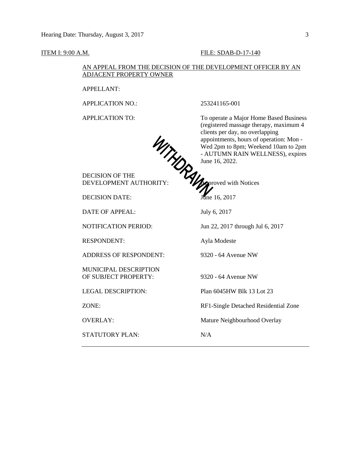#### **ITEM I: 9:00 A.M. FILE: SDAB-D-17-140**

#### AN APPEAL FROM THE DECISION OF THE DEVELOPMENT OFFICER BY AN ADJACENT PROPERTY OWNER

APPELLANT:

APPLICATION NO.: 253241165-001

APPLICATION TO: To operate a Major Home Based Business (registered massage therapy, maximum 4 clients per day, no overlapping appointments, hours of operation: Mon - Wed 2pm to 8pm; Weekend 10am to 2pm - AUTUMN RAIN WELLNESS), expires June 16, 2022.



DECISION OF THE DEVELOPMENT AUTHORITY: Voltain Motices

DECISION DATE: June 16, 2017

DATE OF APPEAL: July 6, 2017

RESPONDENT: Ayla Modeste

ADDRESS OF RESPONDENT: 9320 - 64 Avenue NW

MUNICIPAL DESCRIPTION OF SUBJECT PROPERTY: 9320 - 64 Avenue NW

STATUTORY PLAN: N/A

NOTIFICATION PERIOD: Jun 22, 2017 through Jul 6, 2017

LEGAL DESCRIPTION: Plan 6045HW Blk 13 Lot 23

ZONE: RF1-Single Detached Residential Zone

OVERLAY: Mature Neighbourhood Overlay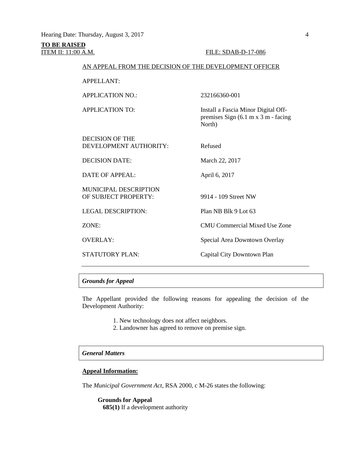#### **TO BE RAISED** ITEM II: 11:00 A.M. FILE: SDAB-D-17-086

premises Sign (6.1 m x 3 m - facing

#### AN APPEAL FROM THE DECISION OF THE DEVELOPMENT OFFICER

APPELLANT:

APPLICATION NO.: 232166360-001

APPLICATION TO: Install a Fascia Minor Digital Off-

DECISION OF THE DEVELOPMENT AUTHORITY: Refused

DECISION DATE: March 22, 2017

DATE OF APPEAL: April 6, 2017

MUNICIPAL DESCRIPTION OF SUBJECT PROPERTY: 9914 - 109 Street NW

North)

LEGAL DESCRIPTION: Plan NB Blk 9 Lot 63

ZONE: CMU Commercial Mixed Use Zone

OVERLAY: Special Area Downtown Overlay

STATUTORY PLAN: Capital City Downtown Plan

#### *Grounds for Appeal*

The Appellant provided the following reasons for appealing the decision of the Development Authority:

- 1. New technology does not affect neighbors.
- 2. Landowner has agreed to remove on premise sign.

## *General Matters*

#### **Appeal Information:**

The *Municipal Government Act*, RSA 2000, c M-26 states the following:

**Grounds for Appeal 685(1)** If a development authority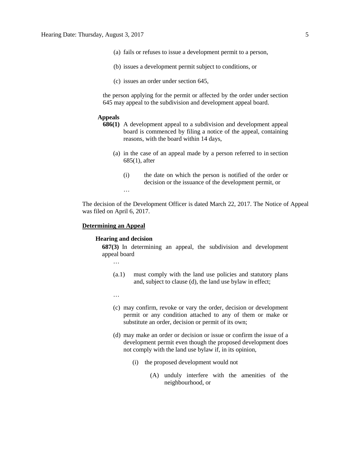- (a) fails or refuses to issue a development permit to a person,
- (b) issues a development permit subject to conditions, or
- (c) issues an order under section 645,

the person applying for the permit or affected by the order under section 645 may appeal to the subdivision and development appeal board.

#### **Appeals**

- **686(1)** A development appeal to a subdivision and development appeal board is commenced by filing a notice of the appeal, containing reasons, with the board within 14 days,
	- (a) in the case of an appeal made by a person referred to in section 685(1), after
		- (i) the date on which the person is notified of the order or decision or the issuance of the development permit, or

…

The decision of the Development Officer is dated March 22, 2017. The Notice of Appeal was filed on April 6, 2017.

#### **Determining an Appeal**

#### **Hearing and decision**

**687(3)** In determining an appeal, the subdivision and development appeal board

- …
- (a.1) must comply with the land use policies and statutory plans and, subject to clause (d), the land use bylaw in effect;
- …
- (c) may confirm, revoke or vary the order, decision or development permit or any condition attached to any of them or make or substitute an order, decision or permit of its own;
- (d) may make an order or decision or issue or confirm the issue of a development permit even though the proposed development does not comply with the land use bylaw if, in its opinion,
	- (i) the proposed development would not
		- (A) unduly interfere with the amenities of the neighbourhood, or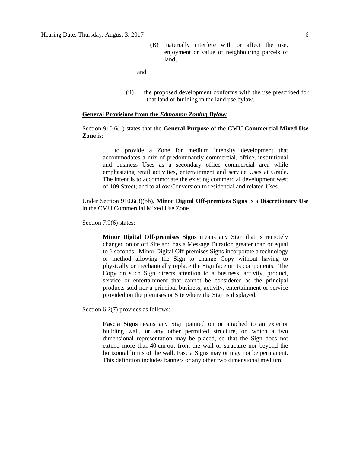(B) materially interfere with or affect the use, enjoyment or value of neighbouring parcels of land,

and

(ii) the proposed development conforms with the use prescribed for that land or building in the land use bylaw.

#### **General Provisions from the** *Edmonton Zoning Bylaw:*

### Section 910.6(1) states that the **General Purpose** of the **CMU Commercial Mixed Use Zone** is:

… to provide a Zone for medium intensity development that accommodates a mix of predominantly commercial, office, institutional and business Uses as a secondary office commercial area while emphasizing retail activities, entertainment and service Uses at Grade. The intent is to accommodate the existing commercial development west of 109 Street; and to allow Conversion to residential and related Uses.

Under Section 910.6(3)(bb), **Minor Digital Off-premises Signs** is a **Discretionary Use** in the CMU Commercial Mixed Use Zone.

Section 7.9(6) states:

**Minor Digital Off-premises Signs** means any Sign that is remotely changed on or off Site and has a Message Duration greater than or equal to 6 seconds. Minor Digital Off-premises Signs incorporate a technology or method allowing the Sign to change Copy without having to physically or mechanically replace the Sign face or its components. The Copy on such Sign directs attention to a business, activity, product, service or entertainment that cannot be considered as the principal products sold nor a principal business, activity, entertainment or service provided on the premises or Site where the Sign is displayed.

Section 6.2(7) provides as follows:

**Fascia Signs** means any Sign painted on or attached to an exterior building wall, or any other permitted structure, on which a two dimensional representation may be placed, so that the Sign does not extend more than 40 cm out from the wall or structure nor beyond the horizontal limits of the wall. Fascia Signs may or may not be permanent. This definition includes banners or any other two dimensional medium;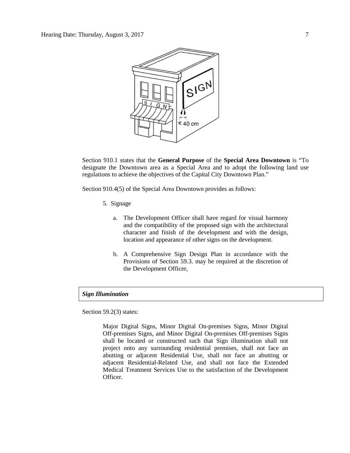

Section 910.1 states that the **General Purpose** of the **Special Area Downtown** is "To designate the Downtown area as a Special Area and to adopt the following land use regulations to achieve the objectives of the Capital City Downtown Plan."

Section 910.4(5) of the Special Area Downtown provides as follows:

- 5. Signage
	- a. The Development Officer shall have regard for visual harmony and the compatibility of the proposed sign with the architectural character and finish of the development and with the design, location and appearance of other signs on the development.
	- b. A Comprehensive Sign Design Plan in accordance with the Provisions of Section 59.3. may be required at the discretion of the Development Officer,

## *Sign Illumination*

Section 59.2(3) states:

Major Digital Signs, Minor Digital On-premises Signs, Minor Digital Off-premises Signs, and Minor Digital On-premises Off-premises Signs shall be located or constructed such that Sign illumination shall not project onto any surrounding residential premises, shall not face an abutting or adjacent Residential Use, shall not face an abutting or adjacent Residential-Related Use, and shall not face the Extended Medical Treatment Services Use to the satisfaction of the Development Officer.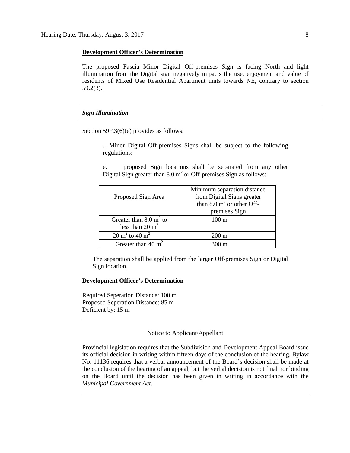#### **Development Officer's Determination**

The proposed Fascia Minor Digital Off-premises Sign is facing North and light illumination from the Digital sign negatively impacts the use, enjoyment and value of residents of Mixed Use Residential Apartment units towards NE, contrary to section 59.2(3).

#### *Sign Illumination*

Section 59F.3(6)(e) provides as follows:

…Minor Digital Off-premises Signs shall be subject to the following regulations:

e. proposed Sign locations shall be separated from any other Digital Sign greater than  $8.0 \text{ m}^2$  or Off-premises Sign as follows:

| Proposed Sign Area                   | Minimum separation distance<br>from Digital Signs greater<br>than $8.0 \text{ m}^2$ or other Off- |  |
|--------------------------------------|---------------------------------------------------------------------------------------------------|--|
|                                      | premises Sign                                                                                     |  |
| Greater than $8.0 \text{ m}^2$ to    | $100 \text{ m}$                                                                                   |  |
| less than $20 \text{ m}^2$           |                                                                                                   |  |
| $20 \text{ m}^2$ to $40 \text{ m}^2$ | $200 \text{ m}$                                                                                   |  |
| Greater than $40 \text{ m}^2$        | $300 \text{ m}$                                                                                   |  |

The separation shall be applied from the larger Off-premises Sign or Digital Sign location.

#### **Development Officer's Determination**

Required Seperation Distance: 100 m Proposed Seperation Distance: 85 m Deficient by: 15 m

#### Notice to Applicant/Appellant

Provincial legislation requires that the Subdivision and Development Appeal Board issue its official decision in writing within fifteen days of the conclusion of the hearing. Bylaw No. 11136 requires that a verbal announcement of the Board's decision shall be made at the conclusion of the hearing of an appeal, but the verbal decision is not final nor binding on the Board until the decision has been given in writing in accordance with the *Municipal Government Act.*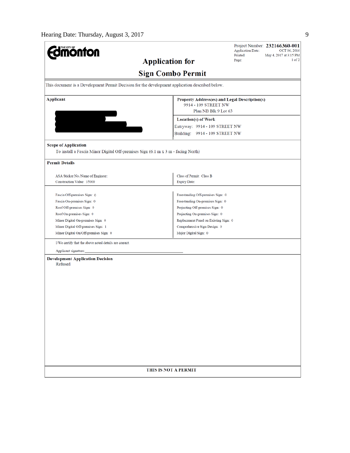| <b>Umönton</b>                                                                                                  | <b>Application Date:</b><br>Printed:                                  | Project Number: 232166360-001<br>OCT 06, 2016<br>May 4, 2017 at 3:15 PM |  |  |  |  |  |  |  |
|-----------------------------------------------------------------------------------------------------------------|-----------------------------------------------------------------------|-------------------------------------------------------------------------|--|--|--|--|--|--|--|
| <b>Application for</b>                                                                                          | Page:                                                                 | 1 of 2                                                                  |  |  |  |  |  |  |  |
| <b>Sign Combo Permit</b>                                                                                        |                                                                       |                                                                         |  |  |  |  |  |  |  |
| This document is a Development Permit Decision for the development application described below.                 |                                                                       |                                                                         |  |  |  |  |  |  |  |
| Applicant                                                                                                       | Property Address(es) and Legal Description(s)<br>9914 - 109 STREET NW |                                                                         |  |  |  |  |  |  |  |
|                                                                                                                 | Plan NB Blk 9 Lot 63                                                  |                                                                         |  |  |  |  |  |  |  |
|                                                                                                                 | <b>Location(s)</b> of Work                                            |                                                                         |  |  |  |  |  |  |  |
|                                                                                                                 | Entryway: 9914 - 109 STREET NW                                        |                                                                         |  |  |  |  |  |  |  |
|                                                                                                                 | Building: 9914 - 109 STREET NW                                        |                                                                         |  |  |  |  |  |  |  |
| <b>Scope of Application</b><br>To install a Fascia Minor Digital Off-premises Sign (6.1 m x 3 m - facing North) |                                                                       |                                                                         |  |  |  |  |  |  |  |
| <b>Permit Details</b>                                                                                           |                                                                       |                                                                         |  |  |  |  |  |  |  |
| ASA Sticker No./Name of Engineer:                                                                               | Class of Permit: Class B                                              |                                                                         |  |  |  |  |  |  |  |
| <b>Construction Value: 35000</b>                                                                                | <b>Expiry Date:</b>                                                   |                                                                         |  |  |  |  |  |  |  |
|                                                                                                                 |                                                                       |                                                                         |  |  |  |  |  |  |  |
| Fascia Off-premises Sign: 0                                                                                     | Freestanding Off-premises Sign: 0                                     |                                                                         |  |  |  |  |  |  |  |
| Fascia On-premises Sign: 0                                                                                      | Freestanding On-premises Sign: 0                                      |                                                                         |  |  |  |  |  |  |  |
| Roof Off-premises Sign: 0                                                                                       | Projecting Off-premises Sign: 0                                       |                                                                         |  |  |  |  |  |  |  |
| Roof On-premises Sign: 0                                                                                        | Projecting On-premises Sign: 0                                        |                                                                         |  |  |  |  |  |  |  |
| Minor Digital On-premises Sign: 0                                                                               | Replacement Panel on Existing Sign: 0                                 |                                                                         |  |  |  |  |  |  |  |
| Minor Digital Off-premises Sign: 1                                                                              | Comprehensive Sign Design: 0                                          |                                                                         |  |  |  |  |  |  |  |
| Minor Digital On/Off-premises Sign: 0                                                                           | Major Digital Sign: 0                                                 |                                                                         |  |  |  |  |  |  |  |
| I/We certify that the above noted details are correct.                                                          |                                                                       |                                                                         |  |  |  |  |  |  |  |
| Applicant signature:                                                                                            |                                                                       |                                                                         |  |  |  |  |  |  |  |
| <b>Development Application Decision</b><br>Refused                                                              |                                                                       |                                                                         |  |  |  |  |  |  |  |
|                                                                                                                 |                                                                       |                                                                         |  |  |  |  |  |  |  |
|                                                                                                                 |                                                                       |                                                                         |  |  |  |  |  |  |  |
|                                                                                                                 |                                                                       |                                                                         |  |  |  |  |  |  |  |
| THIS IS NOT A PERMIT                                                                                            |                                                                       |                                                                         |  |  |  |  |  |  |  |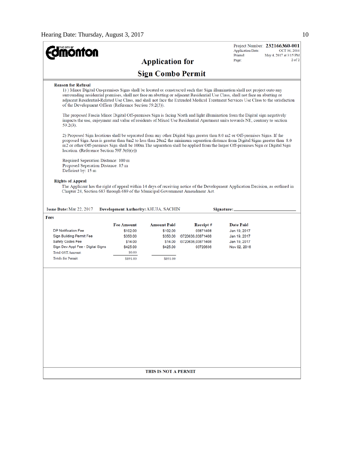| <b>phton</b>                                                                                                                                                                                                                                                                                                                                                                                                                                                                           |                               |                                      |                      | <b>Application Date:</b><br>Printed: | Project Number: 232166360-001<br>OCT 06, 2016<br>May 4, 2017 at 3:15 PM |
|----------------------------------------------------------------------------------------------------------------------------------------------------------------------------------------------------------------------------------------------------------------------------------------------------------------------------------------------------------------------------------------------------------------------------------------------------------------------------------------|-------------------------------|--------------------------------------|----------------------|--------------------------------------|-------------------------------------------------------------------------|
|                                                                                                                                                                                                                                                                                                                                                                                                                                                                                        | Page:                         | $2$ of $2$                           |                      |                                      |                                                                         |
|                                                                                                                                                                                                                                                                                                                                                                                                                                                                                        |                               | <b>Sign Combo Permit</b>             |                      |                                      |                                                                         |
| <b>Reason for Refusal</b><br>1) Minor Digital On-premises Signs shall be located or constructed such that Sign illumination shall not project onto any<br>surrounding residential premises, shall not face an abutting or adjacent Residential Use Class, shall not face an abutting or<br>adjacent Residential-Related Use Class, and shall not face the Extended Medical Treatment Services Use Class to the satisfaction<br>of the Development Officer (Reference Section 59.2(3)). |                               |                                      |                      |                                      |                                                                         |
| The proposed Fascia Minor Digital Off-premises Sign is facing North and light illumination from the Digital sign negatively<br>impacts the use, enjoyment and value of residents of Mixed Use Residential Apartment units towards NE, contrary to section<br>$59.2(3)$ .                                                                                                                                                                                                               |                               |                                      |                      |                                      |                                                                         |
| 2) Proposed Sign locations shall be separated from any other Digital Sign greater than 8.0 m2 or Off-premises Signs. If the<br>proposed Sign Area is greater than 8m2 to less than 20m2 the minimum separation distance from Digital Signs greater than 8.0<br>m2 or other Off-premises Sign shall be 100m. The separation shall be applied from the larger Off-premises Sign or Digital Sign<br>location. (Reference Section 59F.3(6)(e))                                             |                               |                                      |                      |                                      |                                                                         |
| Required Seperation Distance: 100 m<br>Proposed Seperation Distance: 85 m<br>Deficient by: 15 m                                                                                                                                                                                                                                                                                                                                                                                        |                               |                                      |                      |                                      |                                                                         |
| <b>Rights of Appeal</b><br>The Applicant has the right of appeal within 14 days of receiving notice of the Development Application Decision, as outlined in<br>Chapter 24, Section 683 through 689 of the Municipal Government Amendment Act.                                                                                                                                                                                                                                          |                               |                                      |                      |                                      |                                                                         |
| Issue Date: Mar 22, 2017                                                                                                                                                                                                                                                                                                                                                                                                                                                               |                               | Development Authority: AHUJA, SACHIN |                      | Signature:                           |                                                                         |
| Fees                                                                                                                                                                                                                                                                                                                                                                                                                                                                                   |                               |                                      |                      |                                      |                                                                         |
| DP Notification Fee                                                                                                                                                                                                                                                                                                                                                                                                                                                                    | <b>Fee Amount</b><br>\$102.00 | <b>Amount Paid</b><br>\$102.00       | Receipt#<br>03871408 | <b>Date Paid</b><br>Jan 19, 2017     |                                                                         |
| Sign Building Permit Fee                                                                                                                                                                                                                                                                                                                                                                                                                                                               | \$350.00                      | \$350.00                             | 13720636,03871408    | Jan 19, 2017                         |                                                                         |
| Safety Codes Fee                                                                                                                                                                                                                                                                                                                                                                                                                                                                       | \$14.00                       | \$14.00                              | 13720636,03871408    | Jan 19, 2017                         |                                                                         |
| Sign Dev Appl Fee - Digital Signs<br><b>Total GST Amount:</b>                                                                                                                                                                                                                                                                                                                                                                                                                          | \$425.00<br>\$0.00            | \$425.00                             | 03720636             | Nov 02, 2016                         |                                                                         |
| <b>Totals for Permit:</b>                                                                                                                                                                                                                                                                                                                                                                                                                                                              | \$891.00                      | \$891.00                             |                      |                                      |                                                                         |
|                                                                                                                                                                                                                                                                                                                                                                                                                                                                                        |                               |                                      |                      |                                      |                                                                         |
|                                                                                                                                                                                                                                                                                                                                                                                                                                                                                        |                               |                                      |                      |                                      |                                                                         |
|                                                                                                                                                                                                                                                                                                                                                                                                                                                                                        |                               |                                      |                      |                                      |                                                                         |
|                                                                                                                                                                                                                                                                                                                                                                                                                                                                                        |                               |                                      |                      |                                      |                                                                         |
|                                                                                                                                                                                                                                                                                                                                                                                                                                                                                        |                               |                                      |                      |                                      |                                                                         |
|                                                                                                                                                                                                                                                                                                                                                                                                                                                                                        |                               | <b>THIS IS NOT A PERMIT</b>          |                      |                                      |                                                                         |